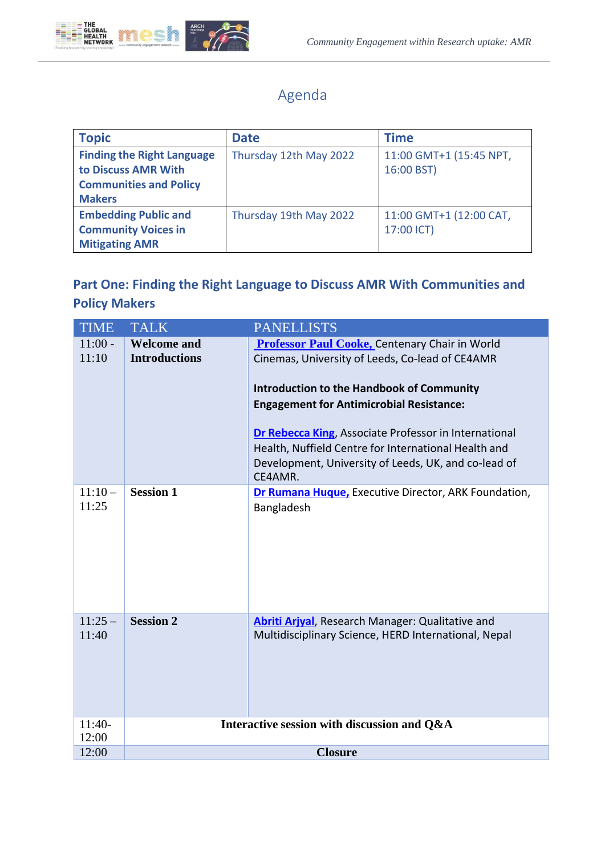

## Agenda

| <b>Topic</b>                                                                                               | <b>Date</b>            | <b>Time</b>                           |
|------------------------------------------------------------------------------------------------------------|------------------------|---------------------------------------|
| <b>Finding the Right Language</b><br>to Discuss AMR With<br><b>Communities and Policy</b><br><b>Makers</b> | Thursday 12th May 2022 | 11:00 GMT+1 (15:45 NPT,<br>16:00 BST) |
| <b>Embedding Public and</b><br><b>Community Voices in</b><br><b>Mitigating AMR</b>                         | Thursday 19th May 2022 | 11:00 GMT+1 (12:00 CAT,<br>17:00 ICT) |

## **Part One: Finding the Right Language to Discuss AMR With Communities and Policy Makers**

| <b>TIME</b> | <b>TALK</b>                                 | <b>PANELLISTS</b>                                               |
|-------------|---------------------------------------------|-----------------------------------------------------------------|
| $11:00 -$   | <b>Welcome and</b>                          | Professor Paul Cooke, Centenary Chair in World                  |
| 11:10       | <b>Introductions</b>                        | Cinemas, University of Leeds, Co-lead of CE4AMR                 |
|             |                                             | <b>Introduction to the Handbook of Community</b>                |
|             |                                             | <b>Engagement for Antimicrobial Resistance:</b>                 |
|             |                                             | <b>Dr Rebecca King, Associate Professor in International</b>    |
|             |                                             | Health, Nuffield Centre for International Health and            |
|             |                                             | Development, University of Leeds, UK, and co-lead of<br>CE4AMR. |
| $11:10-$    | <b>Session 1</b>                            | Dr Rumana Huque, Executive Director, ARK Foundation,            |
| 11:25       |                                             | Bangladesh                                                      |
|             |                                             |                                                                 |
| $11:25-$    | <b>Session 2</b>                            | Abriti Arjyal, Research Manager: Qualitative and                |
| 11:40       |                                             | Multidisciplinary Science, HERD International, Nepal            |
| $11:40-$    | Interactive session with discussion and Q&A |                                                                 |
| 12:00       |                                             |                                                                 |
| 12:00       | <b>Closure</b>                              |                                                                 |